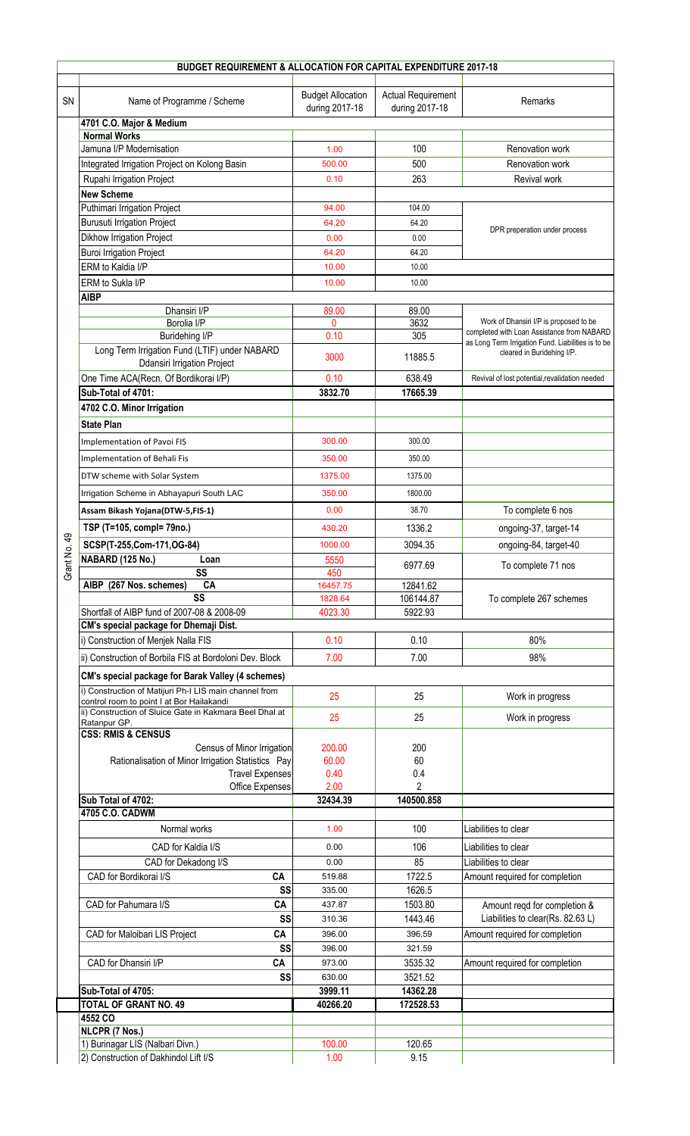|                |                                                                                                                                                                |                                            | BUDGET REQUIREMENT & ALLOCATION FOR CAPITAL EXPENDITURE 2017-18 |                                                                                                                                                                          |
|----------------|----------------------------------------------------------------------------------------------------------------------------------------------------------------|--------------------------------------------|-----------------------------------------------------------------|--------------------------------------------------------------------------------------------------------------------------------------------------------------------------|
| <b>SN</b>      | Name of Programme / Scheme                                                                                                                                     | <b>Budget Allocation</b><br>during 2017-18 | <b>Actual Requirement</b><br>during 2017-18                     | Remarks                                                                                                                                                                  |
|                | 4701 C.O. Major & Medium                                                                                                                                       |                                            |                                                                 |                                                                                                                                                                          |
|                | <b>Normal Works</b>                                                                                                                                            |                                            |                                                                 |                                                                                                                                                                          |
|                | Jamuna I/P Modernisation                                                                                                                                       | 1.00                                       | 100                                                             | Renovation work                                                                                                                                                          |
|                | Integrated Irrigation Project on Kolong Basin                                                                                                                  | 500.00                                     | 500                                                             | Renovation work                                                                                                                                                          |
|                | Rupahi Irrigation Project                                                                                                                                      | 0.10                                       | 263                                                             | Revival work                                                                                                                                                             |
|                | <b>New Scheme</b>                                                                                                                                              |                                            |                                                                 |                                                                                                                                                                          |
|                | Puthimari Irrigation Project                                                                                                                                   | 94.00                                      | 104.00                                                          | DPR preperation under process                                                                                                                                            |
|                | <b>Burusuti Irrigation Project</b>                                                                                                                             | 64.20                                      | 64.20                                                           |                                                                                                                                                                          |
|                | Dikhow Irrigation Project                                                                                                                                      | 0.00                                       | 0.00                                                            |                                                                                                                                                                          |
|                | <b>Buroi Irrigation Project</b>                                                                                                                                | 64.20                                      | 64.20                                                           |                                                                                                                                                                          |
|                | ERM to Kaldia I/P                                                                                                                                              | 10.00                                      | 10.00                                                           |                                                                                                                                                                          |
|                | ERM to Sukla I/P                                                                                                                                               | 10.00                                      | 10.00                                                           |                                                                                                                                                                          |
|                | <b>AIBP</b>                                                                                                                                                    |                                            |                                                                 |                                                                                                                                                                          |
|                | Dhansiri I/P                                                                                                                                                   | 89.00<br>$\mathbf{0}$                      | 89.00<br>3632                                                   | Work of Dhansiri I/P is proposed to be<br>completed with Loan Assistance from NABARD<br>as Long Term Irrigation Fund. Liabilities is to be<br>cleared in Buridehing I/P. |
|                | Borolia I/P<br>Buridehing I/P                                                                                                                                  | 0.10                                       | 305                                                             |                                                                                                                                                                          |
|                | Long Term Irrigation Fund (LTIF) under NABARD<br><b>Ddansiri Irrigation Project</b>                                                                            | 3000                                       | 11885.5                                                         |                                                                                                                                                                          |
|                | One Time ACA(Recn. Of Bordikorai I/P)                                                                                                                          | 0.10                                       | 638.49                                                          | Revival of lost potential, revalidation needed                                                                                                                           |
|                | Sub-Total of 4701:                                                                                                                                             | 3832.70                                    | 17665.39                                                        |                                                                                                                                                                          |
|                | 4702 C.O. Minor Irrigation                                                                                                                                     |                                            |                                                                 |                                                                                                                                                                          |
|                | <b>State Plan</b>                                                                                                                                              |                                            |                                                                 |                                                                                                                                                                          |
|                |                                                                                                                                                                |                                            |                                                                 |                                                                                                                                                                          |
|                | Implementation of Pavoi FIS                                                                                                                                    | 300.00                                     | 300.00                                                          |                                                                                                                                                                          |
|                | Implementation of Behali Fis                                                                                                                                   | 350.00                                     | 350.00                                                          |                                                                                                                                                                          |
|                | DTW scheme with Solar System                                                                                                                                   | 1375.00                                    | 1375.00                                                         |                                                                                                                                                                          |
|                | Irrigation Scheme in Abhayapuri South LAC                                                                                                                      | 350.00                                     | 1800.00                                                         |                                                                                                                                                                          |
|                | Assam Bikash Yojana(DTW-5,FIS-1)                                                                                                                               | 0.00                                       | 38.70                                                           | To complete 6 nos                                                                                                                                                        |
|                |                                                                                                                                                                |                                            | 1336.2                                                          |                                                                                                                                                                          |
| $\overline{4}$ | TSP (T=105, compl= 79no.)                                                                                                                                      | 430.20                                     |                                                                 | ongoing-37, target-14                                                                                                                                                    |
| ö              | SCSP(T-255,Com-171,OG-84)                                                                                                                                      | 1000.00                                    | 3094.35                                                         | ongoing-84, target-40                                                                                                                                                    |
| Grant No       | NABARD (125 No.)<br>Loan                                                                                                                                       | 5550                                       | 6977.69                                                         | To complete 71 nos                                                                                                                                                       |
|                | SS<br>AIBP (267 Nos. schemes)<br>CA                                                                                                                            | 450<br>16457.75                            | 12841.62                                                        |                                                                                                                                                                          |
|                | $\overline{\text{ss}}$                                                                                                                                         | 1828.64                                    | 106144.87                                                       | To complete 267 schemes                                                                                                                                                  |
|                | Shortfall of AIBP fund of 2007-08 & 2008-09                                                                                                                    | 4023.30                                    | 5922.93                                                         |                                                                                                                                                                          |
|                | CM's special package for Dhemaji Dist.                                                                                                                         |                                            |                                                                 |                                                                                                                                                                          |
|                | i) Construction of Menjek Nalla FIS                                                                                                                            | 0.10                                       | 0.10                                                            | 80%                                                                                                                                                                      |
|                | ii) Construction of Borbila FIS at Bordoloni Dev. Block                                                                                                        | 7.00                                       | 7.00                                                            | 98%                                                                                                                                                                      |
|                | CM's special package for Barak Valley (4 schemes)                                                                                                              |                                            |                                                                 |                                                                                                                                                                          |
|                |                                                                                                                                                                |                                            |                                                                 |                                                                                                                                                                          |
|                | i) Construction of Matijuri Ph-I LIS main channel from<br>control room to point I at Bor Hailakandi<br>ii) Construction of Sluice Gate in Kakmara Beel Dhal at | 25                                         | 25                                                              | Work in progress                                                                                                                                                         |
|                | Ratanpur GP.                                                                                                                                                   | 25                                         | 25                                                              | Work in progress                                                                                                                                                         |
|                | <b>CSS: RMIS &amp; CENSUS</b>                                                                                                                                  |                                            |                                                                 |                                                                                                                                                                          |
|                | Census of Minor Irrigation                                                                                                                                     | 200.00                                     | 200                                                             |                                                                                                                                                                          |
|                | Rationalisation of Minor Irrigation Statistics Pay<br><b>Travel Expenses</b>                                                                                   | 60.00<br>0.40                              | 60<br>0.4                                                       |                                                                                                                                                                          |
|                | Office Expenses                                                                                                                                                | 2.00                                       | $\overline{2}$                                                  |                                                                                                                                                                          |
|                | Sub Total of 4702:                                                                                                                                             | 32434.39                                   | 140500.858                                                      |                                                                                                                                                                          |
|                | 4705 C.O. CADWM                                                                                                                                                |                                            |                                                                 |                                                                                                                                                                          |
|                | Normal works                                                                                                                                                   | 1.00                                       | 100                                                             | Liabilities to clear                                                                                                                                                     |
|                | CAD for Kaldia I/S                                                                                                                                             | 0.00                                       | 106                                                             | Liabilities to clear                                                                                                                                                     |
|                |                                                                                                                                                                | 0.00                                       | 85                                                              | Liabilities to clear                                                                                                                                                     |
|                | CAD for Dekadong I/S<br>CAD for Bordikorai I/S<br>CA                                                                                                           | 519.88                                     | 1722.5                                                          | Amount required for completion                                                                                                                                           |
|                | SS                                                                                                                                                             | 335.00                                     | 1626.5                                                          |                                                                                                                                                                          |
|                | CAD for Pahumara I/S<br>CA                                                                                                                                     | 437.87                                     | 1503.80                                                         | Amount reqd for completion &                                                                                                                                             |
|                | SS                                                                                                                                                             | 310.36                                     | 1443.46                                                         | Liabilities to clear(Rs. 82.63 L)                                                                                                                                        |
|                | CAD for Maloibari LIS Project<br>CA                                                                                                                            | 396.00                                     | 396.59                                                          | Amount required for completion                                                                                                                                           |
|                | SS                                                                                                                                                             | 396.00                                     | 321.59                                                          |                                                                                                                                                                          |
|                | CAD for Dhansiri I/P<br>CA                                                                                                                                     | 973.00                                     | 3535.32                                                         | Amount required for completion                                                                                                                                           |
|                | SS                                                                                                                                                             | 630.00                                     | 3521.52                                                         |                                                                                                                                                                          |
|                | Sub-Total of 4705:                                                                                                                                             | 3999.11                                    | 14362.28                                                        |                                                                                                                                                                          |
|                | <b>TOTAL OF GRANT NO. 49</b>                                                                                                                                   | 40266.20                                   | 172528.53                                                       |                                                                                                                                                                          |
|                | 4552 CO                                                                                                                                                        |                                            |                                                                 |                                                                                                                                                                          |
|                |                                                                                                                                                                |                                            |                                                                 |                                                                                                                                                                          |
|                | NLCPR (7 Nos.)                                                                                                                                                 |                                            |                                                                 |                                                                                                                                                                          |
|                | 1) Burinagar LIS (Nalbari Divn.)                                                                                                                               | 100.00                                     | 120.65                                                          |                                                                                                                                                                          |